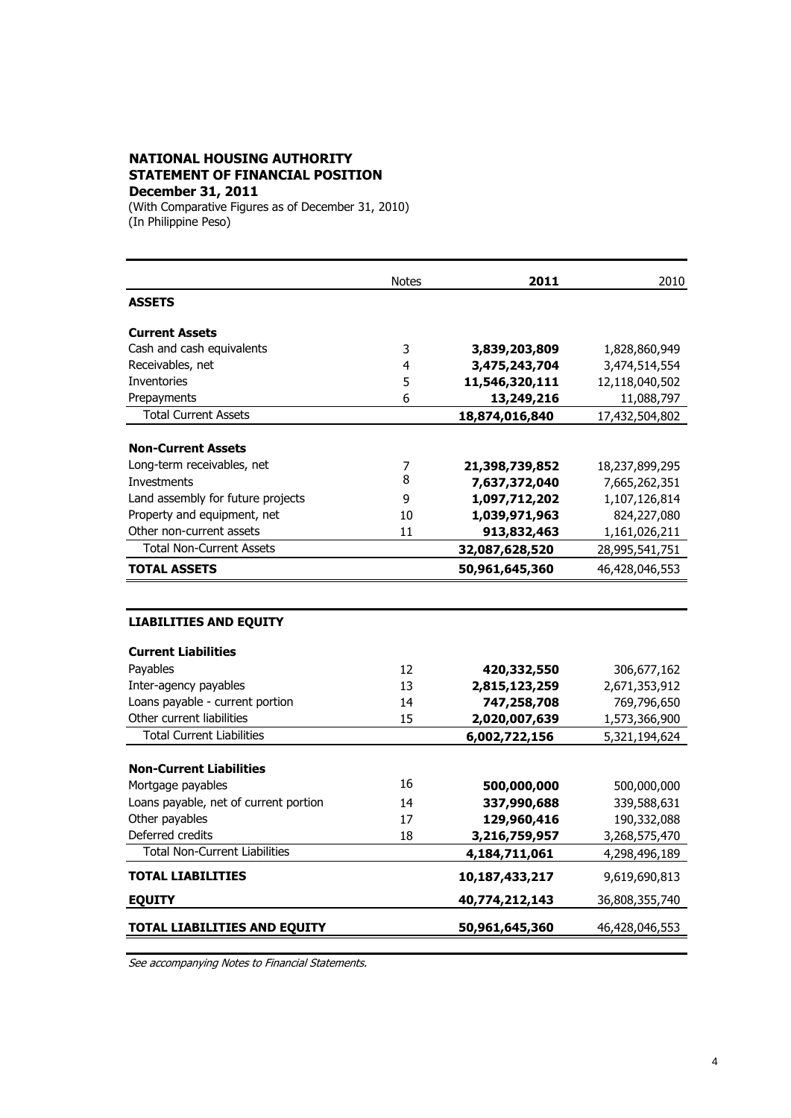## **NATIONAL HOUSING AUTHORITY STATEMENT OF FINANCIAL POSITION December 31, 2011**

(With Comparative Figures as of December 31, 2010) (In Philippine Peso)

|                                       | <b>Notes</b> | 2011           | 2010           |
|---------------------------------------|--------------|----------------|----------------|
| <b>ASSETS</b>                         |              |                |                |
| <b>Current Assets</b>                 |              |                |                |
| Cash and cash equivalents             | 3            | 3,839,203,809  | 1,828,860,949  |
| Receivables, net                      | 4            | 3,475,243,704  | 3,474,514,554  |
| Inventories                           | 5            | 11,546,320,111 | 12,118,040,502 |
| Prepayments                           | 6            | 13,249,216     | 11,088,797     |
| <b>Total Current Assets</b>           |              | 18,874,016,840 | 17,432,504,802 |
| <b>Non-Current Assets</b>             |              |                |                |
| Long-term receivables, net            | 7            | 21,398,739,852 | 18,237,899,295 |
| <b>Investments</b>                    | 8            | 7,637,372,040  | 7,665,262,351  |
| Land assembly for future projects     | 9            | 1,097,712,202  | 1,107,126,814  |
| Property and equipment, net           | 10           | 1,039,971,963  | 824,227,080    |
| Other non-current assets              | 11           | 913,832,463    | 1,161,026,211  |
| <b>Total Non-Current Assets</b>       |              | 32,087,628,520 | 28,995,541,751 |
| <b>TOTAL ASSETS</b>                   |              | 50,961,645,360 | 46,428,046,553 |
|                                       |              |                |                |
| <b>LIABILITIES AND EQUITY</b>         |              |                |                |
| <b>Current Liabilities</b>            |              |                |                |
| Payables                              | 12           | 420,332,550    | 306,677,162    |
| Inter-agency payables                 | 13           | 2,815,123,259  | 2,671,353,912  |
| Loans payable - current portion       | 14           | 747,258,708    | 769,796,650    |
| Other current liabilities             | 15           | 2,020,007,639  | 1,573,366,900  |
| <b>Total Current Liabilities</b>      |              | 6,002,722,156  | 5,321,194,624  |
| <b>Non-Current Liabilities</b>        |              |                |                |
| Mortgage payables                     | 16           | 500,000,000    | 500,000,000    |
| Loans payable, net of current portion | 14           | 337,990,688    | 339,588,631    |
| Other payables                        | 17           | 129,960,416    | 190,332,088    |
| Deferred credits                      | 18           | 3,216,759,957  | 3,268,575,470  |
| <b>Total Non-Current Liabilities</b>  |              | 4,184,711,061  | 4,298,496,189  |
| <b>TOTAL LIABILITIES</b>              |              | 10,187,433,217 | 9,619,690,813  |
| <b>EQUITY</b>                         |              | 40,774,212,143 | 36,808,355,740 |
| <b>TOTAL LIABILITIES AND EQUITY</b>   |              | 50,961,645,360 | 46,428,046,553 |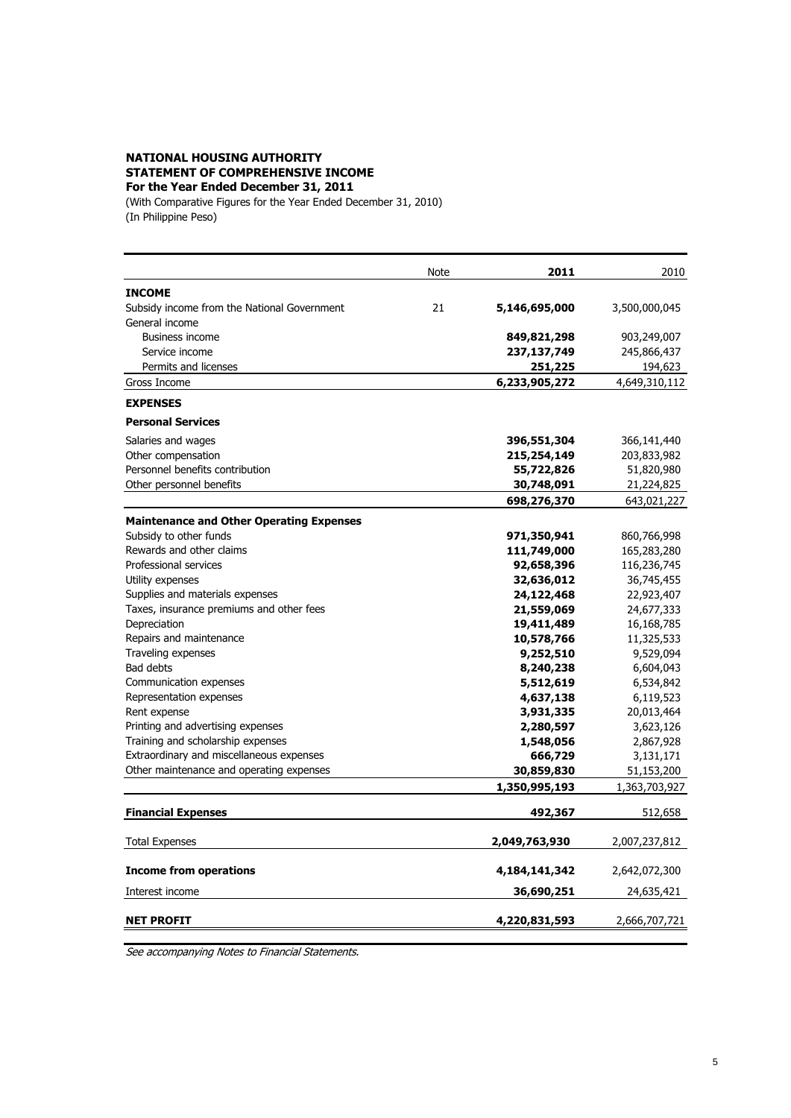## **NATIONAL HOUSING AUTHORITY STATEMENT OF COMPREHENSIVE INCOME For the Year Ended December 31, 2011**

(With Comparative Figures for the Year Ended December 31, 2010) (In Philippine Peso)

|                                                 | Note | 2011          | 2010          |
|-------------------------------------------------|------|---------------|---------------|
| <b>INCOME</b>                                   |      |               |               |
| Subsidy income from the National Government     | 21   | 5,146,695,000 | 3,500,000,045 |
| General income                                  |      |               |               |
| <b>Business income</b>                          |      | 849,821,298   | 903,249,007   |
| Service income                                  |      | 237,137,749   | 245,866,437   |
| Permits and licenses                            |      | 251,225       | 194,623       |
| Gross Income                                    |      | 6,233,905,272 | 4,649,310,112 |
| <b>EXPENSES</b>                                 |      |               |               |
| <b>Personal Services</b>                        |      |               |               |
| Salaries and wages                              |      | 396,551,304   | 366,141,440   |
| Other compensation                              |      | 215,254,149   | 203,833,982   |
| Personnel benefits contribution                 |      | 55,722,826    | 51,820,980    |
| Other personnel benefits                        |      | 30,748,091    | 21,224,825    |
|                                                 |      | 698,276,370   | 643,021,227   |
| <b>Maintenance and Other Operating Expenses</b> |      |               |               |
| Subsidy to other funds                          |      | 971,350,941   | 860,766,998   |
| Rewards and other claims                        |      | 111,749,000   | 165,283,280   |
| Professional services                           |      | 92,658,396    | 116,236,745   |
| Utility expenses                                |      | 32,636,012    | 36,745,455    |
| Supplies and materials expenses                 |      | 24,122,468    | 22,923,407    |
| Taxes, insurance premiums and other fees        |      | 21,559,069    | 24,677,333    |
| Depreciation                                    |      | 19,411,489    | 16,168,785    |
| Repairs and maintenance                         |      | 10,578,766    | 11,325,533    |
| Traveling expenses                              |      | 9,252,510     | 9,529,094     |
| Bad debts                                       |      | 8,240,238     | 6,604,043     |
| Communication expenses                          |      | 5,512,619     | 6,534,842     |
| Representation expenses                         |      | 4,637,138     | 6,119,523     |
| Rent expense                                    |      | 3,931,335     | 20,013,464    |
| Printing and advertising expenses               |      | 2,280,597     | 3,623,126     |
| Training and scholarship expenses               |      | 1,548,056     | 2,867,928     |
| Extraordinary and miscellaneous expenses        |      | 666,729       | 3,131,171     |
| Other maintenance and operating expenses        |      | 30,859,830    | 51,153,200    |
|                                                 |      | 1,350,995,193 | 1,363,703,927 |
| <b>Financial Expenses</b>                       |      | 492,367       | 512,658       |
| <b>Total Expenses</b>                           |      | 2,049,763,930 | 2,007,237,812 |
|                                                 |      |               |               |
| <b>Income from operations</b>                   |      | 4,184,141,342 | 2,642,072,300 |
| Interest income                                 |      | 36,690,251    | 24,635,421    |
| <b>NET PROFIT</b>                               |      | 4,220,831,593 | 2,666,707,721 |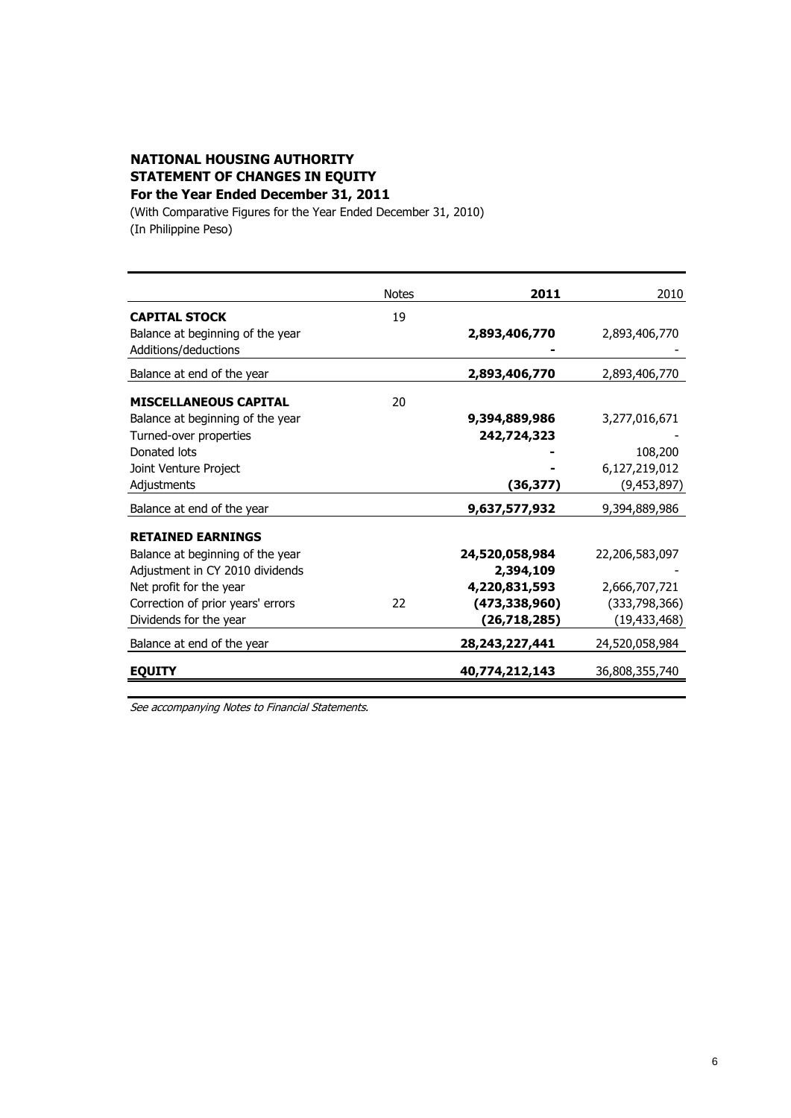## **NATIONAL HOUSING AUTHORITY STATEMENT OF CHANGES IN EQUITY For the Year Ended December 31, 2011**

(With Comparative Figures for the Year Ended December 31, 2010) (In Philippine Peso)

|                                   | <b>Notes</b> | 2011              | 2010           |
|-----------------------------------|--------------|-------------------|----------------|
| <b>CAPITAL STOCK</b>              | 19           |                   |                |
| Balance at beginning of the year  |              | 2,893,406,770     | 2,893,406,770  |
| Additions/deductions              |              |                   |                |
| Balance at end of the year        |              | 2,893,406,770     | 2,893,406,770  |
| <b>MISCELLANEOUS CAPITAL</b>      | 20           |                   |                |
| Balance at beginning of the year  |              | 9,394,889,986     | 3,277,016,671  |
| Turned-over properties            |              | 242,724,323       |                |
| Donated lots                      |              |                   | 108,200        |
| Joint Venture Project             |              |                   | 6,127,219,012  |
| Adjustments                       |              | (36,377)          | (9,453,897)    |
| Balance at end of the year        |              | 9,637,577,932     | 9,394,889,986  |
| <b>RETAINED EARNINGS</b>          |              |                   |                |
| Balance at beginning of the year  |              | 24,520,058,984    | 22,206,583,097 |
| Adjustment in CY 2010 dividends   |              | 2,394,109         |                |
| Net profit for the year           |              | 4,220,831,593     | 2,666,707,721  |
| Correction of prior years' errors | 22           | (473, 338, 960)   | (333,798,366)  |
| Dividends for the year            |              | (26,718,285)      | (19, 433, 468) |
| Balance at end of the year        |              | 28, 243, 227, 441 | 24,520,058,984 |
| <b>EQUITY</b>                     |              | 40,774,212,143    | 36,808,355,740 |